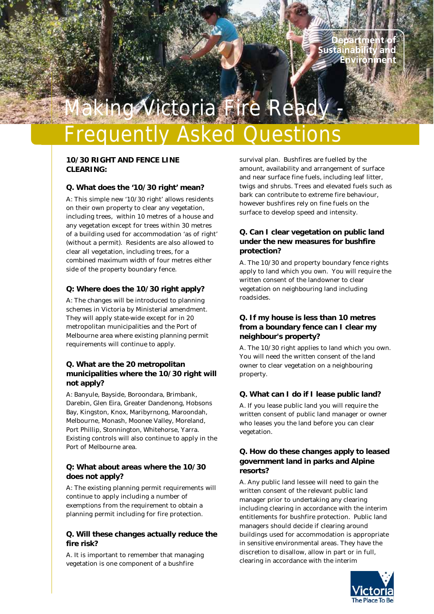# nah

## toria Fire Read

### Frequently Asked Questions

#### **10/30 RIGHT AND FENCE LINE CLEARING:**

#### **Q. What does the '10/30 right' mean?**

A: This simple new '10/30 right' allows residents on their own property to clear any vegetation, including trees, within 10 metres of a house and any vegetation except for trees within 30 metres of a building used for accommodation 'as of right' (without a permit). Residents are also allowed to clear all vegetation, including trees, for a combined maximum width of four metres either side of the property boundary fence.

#### **Q: Where does the 10/30 right apply?**

A: The changes will be introduced to planning schemes in Victoria by Ministerial amendment. They will apply state-wide except for in 20 metropolitan municipalities and the Port of Melbourne area where existing planning permit requirements will continue to apply.

#### **Q. What are the 20 metropolitan municipalities where the 10/30 right will not apply?**

A: Banyule, Bayside, Boroondara, Brimbank, Darebin, Glen Eira, Greater Dandenong, Hobsons Bay, Kingston, Knox, Maribyrnong, Maroondah, Melbourne, Monash, Moonee Valley, Moreland, Port Phillip, Stonnington, Whitehorse, Yarra. Existing controls will also continue to apply in the Port of Melbourne area.

#### **Q: What about areas where the 10/30 does not apply?**

A: The existing planning permit requirements will continue to apply including a number of exemptions from the requirement to obtain a planning permit including for fire protection.

#### **Q. Will these changes actually reduce the fire risk?**

A. It is important to remember that managing vegetation is one component of a bushfire

survival plan. Bushfires are fuelled by the amount, availability and arrangement of surface and near surface fine fuels, including leaf litter, twigs and shrubs. Trees and elevated fuels such as bark can contribute to extreme fire behaviour, however bushfires rely on fine fuels on the surface to develop speed and intensity.

#### **Q. Can I clear vegetation on public land under the new measures for bushfire protection?**

A. The 10/30 and property boundary fence rights apply to land which you own. You will require the written consent of the landowner to clear vegetation on neighbouring land including roadsides.

#### **Q. If my house is less than 10 metres from a boundary fence can I clear my neighbour's property?**

A. The 10/30 right applies to land which you own. You will need the written consent of the land owner to clear vegetation on a neighbouring property.

#### **Q. What can I do if I lease public land?**

A. If you lease public land you will require the written consent of public land manager or owner who leases you the land before you can clear vegetation.

#### **Q. How do these changes apply to leased government land in parks and Alpine resorts?**

A. Any public land lessee will need to gain the written consent of the relevant public land manager prior to undertaking any clearing including clearing in accordance with the interim entitlements for bushfire protection. Public land managers should decide if clearing around buildings used for accommodation is appropriate in sensitive environmental areas. They have the discretion to disallow, allow in part or in full, clearing in accordance with the interim

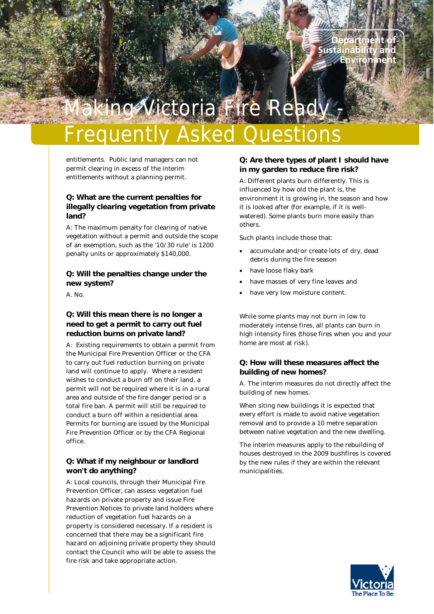# lah

## toria Fire

### Frequently Asked Questions

entitlements. Public land managers can not permit clearing in excess of the interim entitlements without a planning permit.

#### **Q: What are the current penalties for illegally clearing vegetation from private land?**

A: The maximum penalty for clearing of native vegetation without a permit and outside the scope of an exemption, such as the '10/30 rule' is 1200 penalty units or approximately \$140,000.

#### **Q: Will the penalties change under the new system?**

A. No.

#### **Q: Will this mean there is no longer a need to get a permit to carry out fuel reduction burns on private land?**

A: Existing requirements to obtain a permit from the Municipal Fire Prevention Officer or the CFA to carry out fuel reduction burning on private land will continue to apply. Where a resident wishes to conduct a burn off on their land, a permit will not be required where it is in a rural area and outside of the fire danger period or a total fire ban. A permit will still be required to conduct a burn off within a residential area. Permits for burning are issued by the Municipal Fire Prevention Officer or by the CFA Regional office.

#### **Q: What if my neighbour or landlord won't do anything?**

A: Local councils, through their Municipal Fire Prevention Officer, can assess vegetation fuel hazards on private property and issue Fire Prevention Notices to private land holders where reduction of vegetation fuel hazards on a property is considered necessary. If a resident is concerned that there may be a significant fire hazard on adjoining private property they should contact the Council who will be able to assess the fire risk and take appropriate action.

#### **Q: Are there types of plant I should have in my garden to reduce fire risk?**

A: Different plants burn differently. This is influenced by how old the plant is, the environment it is growing in, the season and how it is looked after (for example, if it is wellwatered). Some plants burn more easily than others.

Such plants include those that:

- accumulate and/or create lots of dry, dead debris during the fire season
- have loose flaky bark
- have masses of very fine leaves and
- have very low moisture content.

While some plants may not burn in low to moderately intense fires, all plants can burn in high intensity fires (those fires when you and your home are most at risk).

#### **Q: How will these measures affect the building of new homes?**

A. The interim measures do not directly affect the building of new homes.

When siting new buildings it is expected that every effort is made to avoid native vegetation removal and to provide a 10 metre separation between native vegetation and the new dwelling.

The interim measures apply to the rebuilding of houses destroyed in the 2009 bushfires is covered by the new rules if they are within the relevant municipalities.